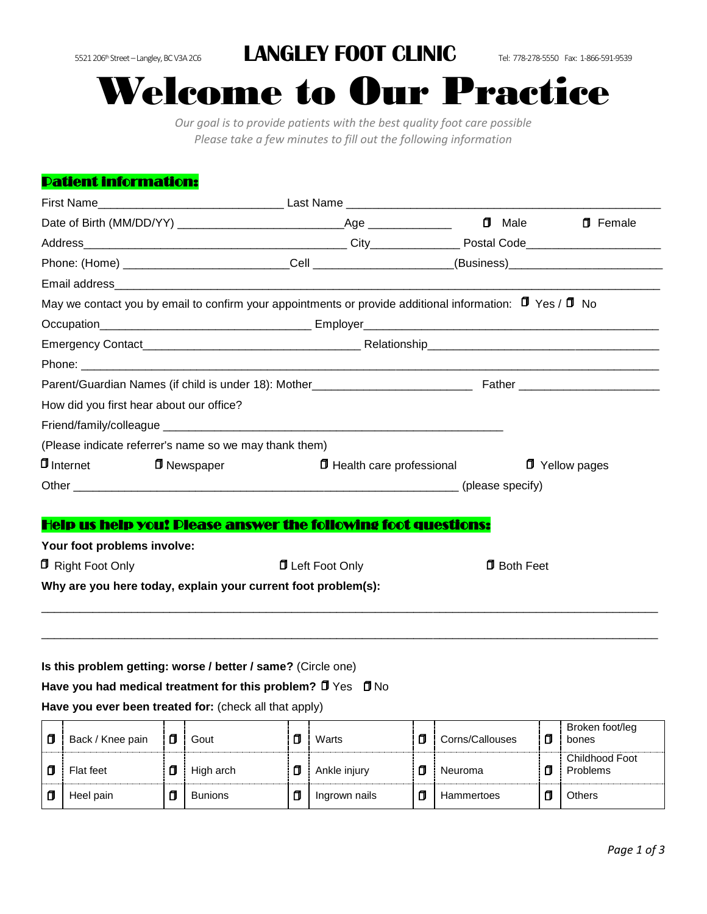5521 206th Street –Langley, BC V3A 2C6 **LANGLEY FOOT CLINIC** Tel: 778-278-5550 Fax: 1-866-591-9539

# Welcome to Our Practice

*Our goal is to provide patients with the best quality foot care possible Please take a few minutes to fill out the following information*

# Patient information:

|                             |                                                                                                                    |                         |                                 |  |                    | <b>D</b> Female       |  |
|-----------------------------|--------------------------------------------------------------------------------------------------------------------|-------------------------|---------------------------------|--|--------------------|-----------------------|--|
|                             |                                                                                                                    |                         |                                 |  |                    |                       |  |
|                             |                                                                                                                    |                         |                                 |  |                    |                       |  |
|                             |                                                                                                                    |                         |                                 |  |                    |                       |  |
|                             | May we contact you by email to confirm your appointments or provide additional information: $\Box$ Yes / $\Box$ No |                         |                                 |  |                    |                       |  |
|                             |                                                                                                                    |                         |                                 |  |                    |                       |  |
|                             |                                                                                                                    |                         |                                 |  |                    |                       |  |
|                             |                                                                                                                    |                         |                                 |  |                    |                       |  |
|                             |                                                                                                                    |                         |                                 |  |                    |                       |  |
|                             | How did you first hear about our office?                                                                           |                         |                                 |  |                    |                       |  |
|                             |                                                                                                                    |                         |                                 |  |                    |                       |  |
|                             | (Please indicate referrer's name so we may thank them)                                                             |                         |                                 |  |                    |                       |  |
|                             | <b>I</b> Internet <b>I</b> Newspaper                                                                               |                         | $\Box$ Health care professional |  |                    | <b>I</b> Yellow pages |  |
|                             |                                                                                                                    |                         |                                 |  |                    |                       |  |
|                             |                                                                                                                    |                         |                                 |  |                    |                       |  |
|                             | <b>Help us help you! Please answer the following foot questions:</b>                                               |                         |                                 |  |                    |                       |  |
| Your foot problems involve: |                                                                                                                    |                         |                                 |  |                    |                       |  |
| Right Foot Only             |                                                                                                                    | <b>D</b> Left Foot Only |                                 |  | <b>D</b> Both Feet |                       |  |
|                             | Why are you here today, explain your current foot problem(s):                                                      |                         |                                 |  |                    |                       |  |

**Is this problem getting: worse / better / same?** (Circle one)

Have you had medical treatment for this problem?  $\mathbb{D}$  Yes  $\mathbb{D}$  No

Have you ever been treated for: (check all that apply)

| 0 | Back / Knee pain |   | Gout           |   | Warts         | ٥ | Corns/Callouses | ٥ | Broken foot/leg<br>bones          |
|---|------------------|---|----------------|---|---------------|---|-----------------|---|-----------------------------------|
|   | Flat feet        | ٥ | High arch      | п | Ankle injury  | ٥ | Neuroma         | α | <b>Childhood Foot</b><br>Problems |
| ٥ | Heel pain        | ٥ | <b>Bunions</b> | π | Ingrown nails | ٥ | Hammertoes      | ٥ | <b>Others</b>                     |

\_\_\_\_\_\_\_\_\_\_\_\_\_\_\_\_\_\_\_\_\_\_\_\_\_\_\_\_\_\_\_\_\_\_\_\_\_\_\_\_\_\_\_\_\_\_\_\_\_\_\_\_\_\_\_\_\_\_\_\_\_\_\_\_\_\_\_\_\_\_\_\_\_\_\_\_\_\_\_\_\_\_\_\_\_\_\_\_\_\_\_\_\_\_\_\_

\_\_\_\_\_\_\_\_\_\_\_\_\_\_\_\_\_\_\_\_\_\_\_\_\_\_\_\_\_\_\_\_\_\_\_\_\_\_\_\_\_\_\_\_\_\_\_\_\_\_\_\_\_\_\_\_\_\_\_\_\_\_\_\_\_\_\_\_\_\_\_\_\_\_\_\_\_\_\_\_\_\_\_\_\_\_\_\_\_\_\_\_\_\_\_\_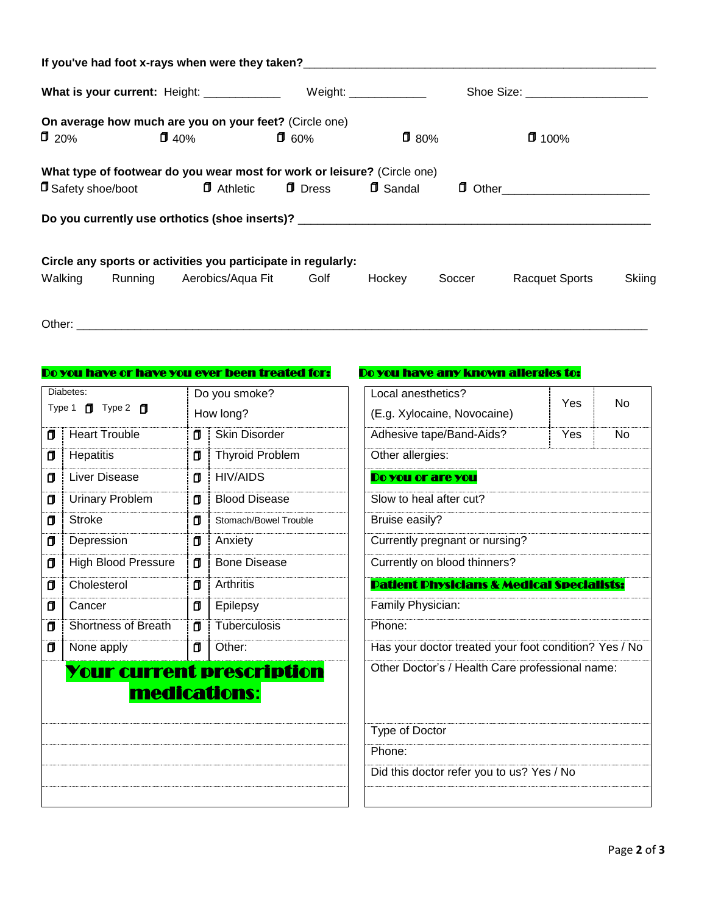| What is your current: Height: ____________                                       |                                | Weight: ______________ |        |                                       |        |
|----------------------------------------------------------------------------------|--------------------------------|------------------------|--------|---------------------------------------|--------|
| On average how much are you on your feet? (Circle one)                           |                                |                        |        |                                       |        |
| $\blacksquare$ 20% $\blacksquare$ 40% $\blacksquare$ 60%                         |                                | $\Box$ 80%             |        | <b>□</b> 100%                         |        |
| What type of footwear do you wear most for work or leisure? (Circle one)         |                                |                        |        |                                       |        |
| <b>If</b> Safety shoe/boot <b>If</b> Athletic <b>If</b> Dress                    |                                | $\Box$ Sandal          |        | <b>D</b> Other ______________________ |        |
| Do you currently use orthotics (shoe inserts)? _________________________________ |                                |                        |        |                                       |        |
| Circle any sports or activities you participate in regularly:                    |                                |                        |        |                                       |        |
| Walking                                                                          | Running Aerobics/Aqua Fit Golf | Hockey                 | Soccer | Racquet Sports                        | Skiing |

Other: \_\_\_\_\_\_\_\_\_\_\_\_\_\_\_\_\_\_\_\_\_\_\_\_\_\_\_\_\_\_\_\_\_\_\_\_\_\_\_\_\_\_\_\_\_\_\_\_\_\_\_\_\_\_\_\_\_\_\_\_\_\_\_\_\_\_\_\_\_\_\_\_\_\_\_\_\_\_\_\_\_\_\_\_\_\_\_\_\_

Ī

# Do you have or have you ever been treated for: Do you have any known allergies to:

| Diabetes:                      |                                                        | Do you smoke? |                        |                                                       | Local anesthetics?<br>Yes                            |     |           |  |  |  |
|--------------------------------|--------------------------------------------------------|---------------|------------------------|-------------------------------------------------------|------------------------------------------------------|-----|-----------|--|--|--|
| $\Box$ Type 2 $\Box$<br>Type 1 |                                                        | How long?     |                        |                                                       | (E.g. Xylocaine, Novocaine)                          |     | <b>No</b> |  |  |  |
| ٥                              | <b>Skin Disorder</b><br><b>Heart Trouble</b><br>٥      |               |                        |                                                       | Adhesive tape/Band-Aids?                             | Yes | <b>No</b> |  |  |  |
| ٥                              | Hepatitis                                              | σ             | <b>Thyroid Problem</b> |                                                       | Other allergies:                                     |     |           |  |  |  |
| 0                              | <b>Liver Disease</b>                                   | 0             | <b>HIV/AIDS</b>        |                                                       | Do you or are you                                    |     |           |  |  |  |
| σ                              | <b>Urinary Problem</b>                                 | ٥             | <b>Blood Disease</b>   |                                                       | Slow to heal after cut?                              |     |           |  |  |  |
| ٥                              | <b>Stroke</b>                                          | ٥             | Stomach/Bowel Trouble  | Bruise easily?                                        |                                                      |     |           |  |  |  |
| σ                              | Depression<br>٥                                        |               | Anxiety                |                                                       | Currently pregnant or nursing?                       |     |           |  |  |  |
| σ                              | <b>Bone Disease</b><br><b>High Blood Pressure</b><br>٥ |               |                        |                                                       | Currently on blood thinners?                         |     |           |  |  |  |
| ٥                              | Cholesterol                                            | α             | Arthritis              |                                                       | <b>Patient Physicians &amp; Medical Specialists:</b> |     |           |  |  |  |
| σ                              | Cancer                                                 | ٥             | Epilepsy               |                                                       | Family Physician:                                    |     |           |  |  |  |
| ٥                              | Shortness of Breath                                    | ٥             | Tuberculosis           |                                                       | Phone:                                               |     |           |  |  |  |
| None apply<br>Other:<br>٥<br>٥ |                                                        |               |                        | Has your doctor treated your foot condition? Yes / No |                                                      |     |           |  |  |  |
|                                | <b>Your current prescription</b><br>medications:       |               |                        |                                                       | Other Doctor's / Health Care professional name:      |     |           |  |  |  |
|                                |                                                        |               | Type of Doctor         |                                                       |                                                      |     |           |  |  |  |
|                                |                                                        |               | Phone:                 |                                                       |                                                      |     |           |  |  |  |
|                                |                                                        |               |                        | Did this doctor refer you to us? Yes / No             |                                                      |     |           |  |  |  |
|                                |                                                        |               |                        |                                                       |                                                      |     |           |  |  |  |

| Local anesthetics?                                    | Yes | N٥ |  |  |  |  |  |
|-------------------------------------------------------|-----|----|--|--|--|--|--|
| (E.g. Xylocaine, Novocaine)                           |     |    |  |  |  |  |  |
| Adhesive tape/Band-Aids?                              | Yes | N٥ |  |  |  |  |  |
| Other allergies:                                      |     |    |  |  |  |  |  |
| Do you or are you                                     |     |    |  |  |  |  |  |
| Slow to heal after cut?                               |     |    |  |  |  |  |  |
| Bruise easily?                                        |     |    |  |  |  |  |  |
| Currently pregnant or nursing?                        |     |    |  |  |  |  |  |
| Currently on blood thinners?                          |     |    |  |  |  |  |  |
| <b>Patient Physicians &amp; Medical Specialists:</b>  |     |    |  |  |  |  |  |
| Family Physician:                                     |     |    |  |  |  |  |  |
| Phone:                                                |     |    |  |  |  |  |  |
| Has your doctor treated your foot condition? Yes / No |     |    |  |  |  |  |  |
| Other Doctor's / Health Care professional name:       |     |    |  |  |  |  |  |
|                                                       |     |    |  |  |  |  |  |
|                                                       |     |    |  |  |  |  |  |
| Type of Doctor                                        |     |    |  |  |  |  |  |
| Phone:                                                |     |    |  |  |  |  |  |
| Did this doctor refer you to us? Yes / No             |     |    |  |  |  |  |  |
|                                                       |     |    |  |  |  |  |  |